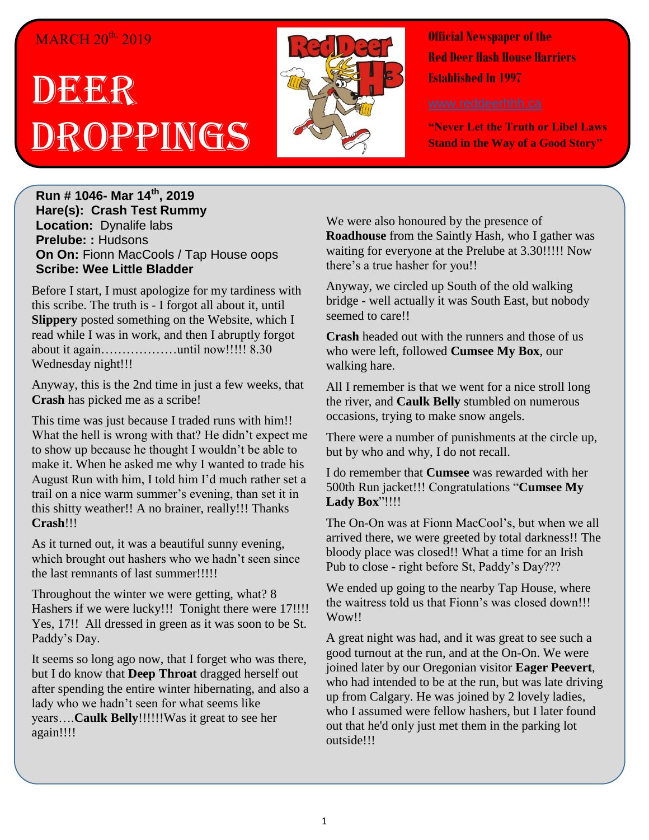## MARCH 20<sup>th,</sup> 2019

# **DEER** Droppings



**Official Newspaper of the Red Deer Hash House Harriers Established In 1997** 

**"Never Let the Truth or Libel Laws Stand in the Way of a Good Story"**

**Run # 1046- Mar 14th, 2019 Hare(s): Crash Test Rummy Location:** Dynalife labs **Prelube: :** Hudsons **On On:** Fionn MacCools / Tap House oops **Scribe: Wee Little Bladder**

Before I start, I must apologize for my tardiness with this scribe. The truth is - I forgot all about it, until **Slippery** posted something on the Website, which I read while I was in work, and then I abruptly forgot about it again………………until now!!!!! 8.30 Wednesday night!!!

Anyway, this is the 2nd time in just a few weeks, that **Crash** has picked me as a scribe!

This time was just because I traded runs with him!! What the hell is wrong with that? He didn't expect me to show up because he thought I wouldn't be able to make it. When he asked me why I wanted to trade his August Run with him, I told him I'd much rather set a trail on a nice warm summer's evening, than set it in this shitty weather!! A no brainer, really!!! Thanks **Crash**!!!

As it turned out, it was a beautiful sunny evening, which brought out hashers who we hadn't seen since the last remnants of last summer!!!!!

Throughout the winter we were getting, what? 8 Hashers if we were lucky!!! Tonight there were 17!!!! Yes, 17!! All dressed in green as it was soon to be St. Paddy's Day.

It seems so long ago now, that I forget who was there, but I do know that **Deep Throat** dragged herself out after spending the entire winter hibernating, and also a lady who we hadn't seen for what seems like years….**Caulk Belly**!!!!!!Was it great to see her again!!!!

We were also honoured by the presence of **Roadhouse** from the Saintly Hash, who I gather was waiting for everyone at the Prelube at 3.30!!!!! Now there's a true hasher for you!!

Anyway, we circled up South of the old walking bridge - well actually it was South East, but nobody seemed to care!!

**Crash** headed out with the runners and those of us who were left, followed **Cumsee My Box**, our walking hare.

All I remember is that we went for a nice stroll long the river, and **Caulk Belly** stumbled on numerous occasions, trying to make snow angels.

There were a number of punishments at the circle up, but by who and why, I do not recall.

I do remember that **Cumsee** was rewarded with her 500th Run jacket!!! Congratulations "**Cumsee My Lady Box**"!!!!

The On-On was at Fionn MacCool's, but when we all arrived there, we were greeted by total darkness!! The bloody place was closed!! What a time for an Irish Pub to close - right before St, Paddy's Day???

We ended up going to the nearby Tap House, where the waitress told us that Fionn's was closed down!!! Wow!!

A great night was had, and it was great to see such a good turnout at the run, and at the On-On. We were joined later by our Oregonian visitor **Eager Peevert**, who had intended to be at the run, but was late driving up from Calgary. He was joined by 2 lovely ladies, who I assumed were fellow hashers, but I later found out that he'd only just met them in the parking lot outside!!!